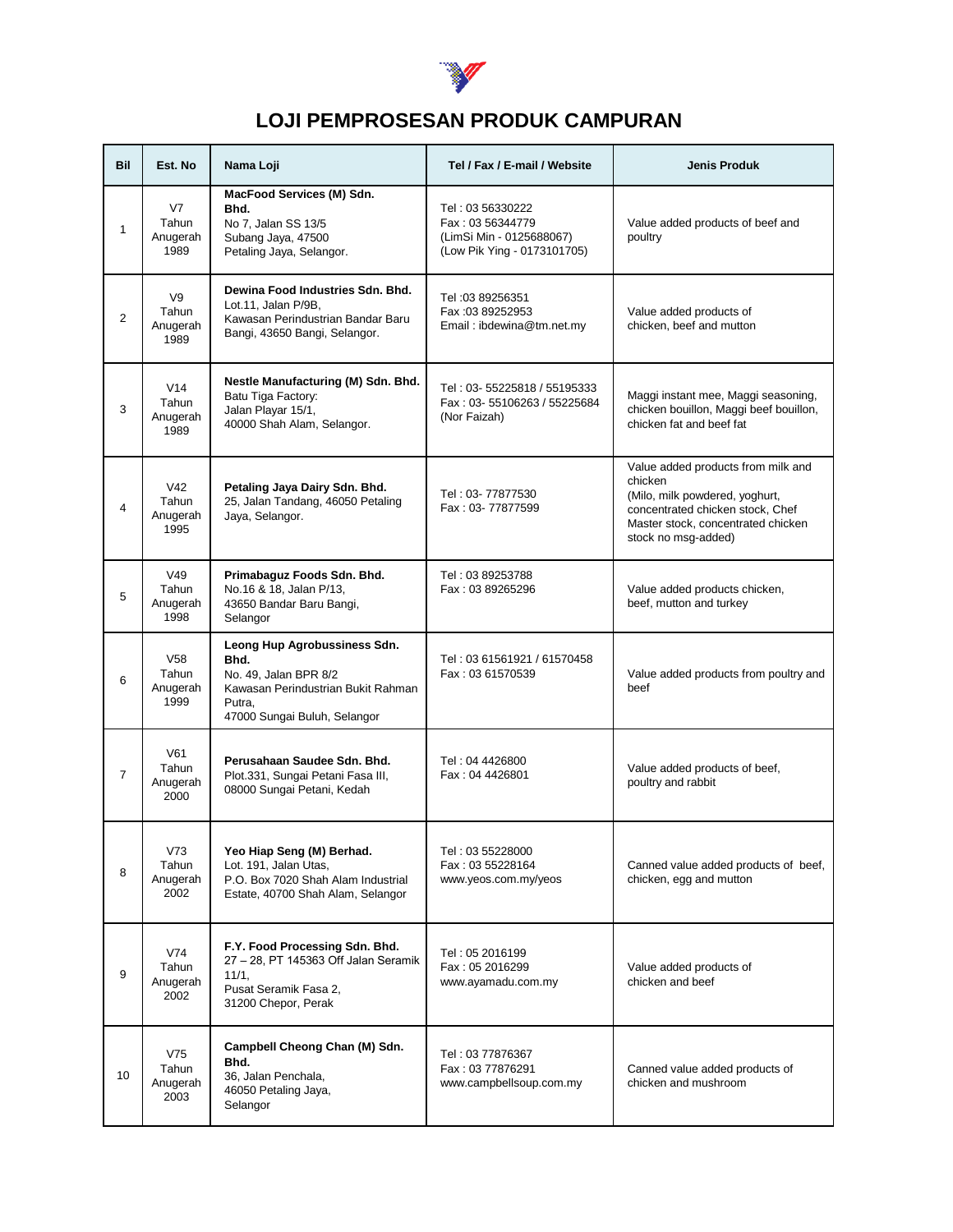

## **LOJI PEMPROSESAN PRODUK CAMPURAN**

| Bil            | Est. No                                      | Nama Loji                                                                                                                                     | Tel / Fax / E-mail / Website                                                                    | <b>Jenis Produk</b>                                                                                                                                                              |
|----------------|----------------------------------------------|-----------------------------------------------------------------------------------------------------------------------------------------------|-------------------------------------------------------------------------------------------------|----------------------------------------------------------------------------------------------------------------------------------------------------------------------------------|
| 1              | V <sub>7</sub><br>Tahun<br>Anugerah<br>1989  | MacFood Services (M) Sdn.<br>Bhd.<br>No 7, Jalan SS 13/5<br>Subang Jaya, 47500<br>Petaling Jaya, Selangor.                                    | Tel: 03 56330222<br>Fax: 03 56344779<br>(LimSi Min - 0125688067)<br>(Low Pik Ying - 0173101705) | Value added products of beef and<br>poultry                                                                                                                                      |
| 2              | V <sub>9</sub><br>Tahun<br>Anugerah<br>1989  | Dewina Food Industries Sdn. Bhd.<br>Lot.11, Jalan P/9B,<br>Kawasan Perindustrian Bandar Baru<br>Bangi, 43650 Bangi, Selangor.                 | Tel: 03 89256351<br>Fax: 03 89252953<br>Email: ibdewina@tm.net.my                               | Value added products of<br>chicken, beef and mutton                                                                                                                              |
| 3              | V <sub>14</sub><br>Tahun<br>Anugerah<br>1989 | Nestle Manufacturing (M) Sdn. Bhd.<br>Batu Tiga Factory:<br>Jalan Playar 15/1,<br>40000 Shah Alam, Selangor.                                  | Tel: 03-55225818 / 55195333<br>Fax: 03-55106263 / 55225684<br>(Nor Faizah)                      | Maggi instant mee, Maggi seasoning,<br>chicken bouillon, Maggi beef bouillon,<br>chicken fat and beef fat                                                                        |
| 4              | V <sub>42</sub><br>Tahun<br>Anugerah<br>1995 | Petaling Jaya Dairy Sdn. Bhd.<br>25, Jalan Tandang, 46050 Petaling<br>Jaya, Selangor.                                                         | Tel: 03-77877530<br>Fax: 03-77877599                                                            | Value added products from milk and<br>chicken<br>(Milo, milk powdered, yoghurt,<br>concentrated chicken stock, Chef<br>Master stock, concentrated chicken<br>stock no msg-added) |
| 5              | V49<br>Tahun<br>Anugerah<br>1998             | Primabaguz Foods Sdn. Bhd.<br>No.16 & 18, Jalan P/13,<br>43650 Bandar Baru Bangi,<br>Selangor                                                 | Tel: 03 89253788<br>Fax: 03 89265296                                                            | Value added products chicken,<br>beef, mutton and turkey                                                                                                                         |
| 6              | V <sub>58</sub><br>Tahun<br>Anugerah<br>1999 | Leong Hup Agrobussiness Sdn.<br>Bhd.<br>No. 49, Jalan BPR 8/2<br>Kawasan Perindustrian Bukit Rahman<br>Putra.<br>47000 Sungai Buluh, Selangor | Tel: 03 61561921 / 61570458<br>Fax: 03 61570539                                                 | Value added products from poultry and<br>beef                                                                                                                                    |
| $\overline{7}$ | V61<br>Tahun<br>Anugerah<br>2000             | Perusahaan Saudee Sdn. Bhd.<br>Plot.331, Sungai Petani Fasa III,<br>08000 Sungai Petani, Kedah                                                | Tel: 04 4426800<br>Fax: 04 4426801                                                              | Value added products of beef,<br>poultry and rabbit                                                                                                                              |
| 8              | V <sub>73</sub><br>Tahun<br>Anugerah<br>2002 | Yeo Hiap Seng (M) Berhad.<br>Lot. 191, Jalan Utas,<br>P.O. Box 7020 Shah Alam Industrial<br>Estate, 40700 Shah Alam, Selangor                 | Tel: 03 55228000<br>Fax: 03 55228164<br>www.yeos.com.my/yeos                                    | Canned value added products of beef,<br>chicken, egg and mutton                                                                                                                  |
| 9              | V74<br>Tahun<br>Anugerah<br>2002             | F.Y. Food Processing Sdn. Bhd.<br>27 - 28, PT 145363 Off Jalan Seramik<br>11/1,<br>Pusat Seramik Fasa 2,<br>31200 Chepor, Perak               | Tel: 05 2016199<br>Fax: 05 2016299<br>www.ayamadu.com.my                                        | Value added products of<br>chicken and beef                                                                                                                                      |
| 10             | V75<br>Tahun<br>Anugerah<br>2003             | Campbell Cheong Chan (M) Sdn.<br>Bhd.<br>36, Jalan Penchala,<br>46050 Petaling Jaya,<br>Selangor                                              | Tel: 03 77876367<br>Fax: 03 77876291<br>www.campbellsoup.com.my                                 | Canned value added products of<br>chicken and mushroom                                                                                                                           |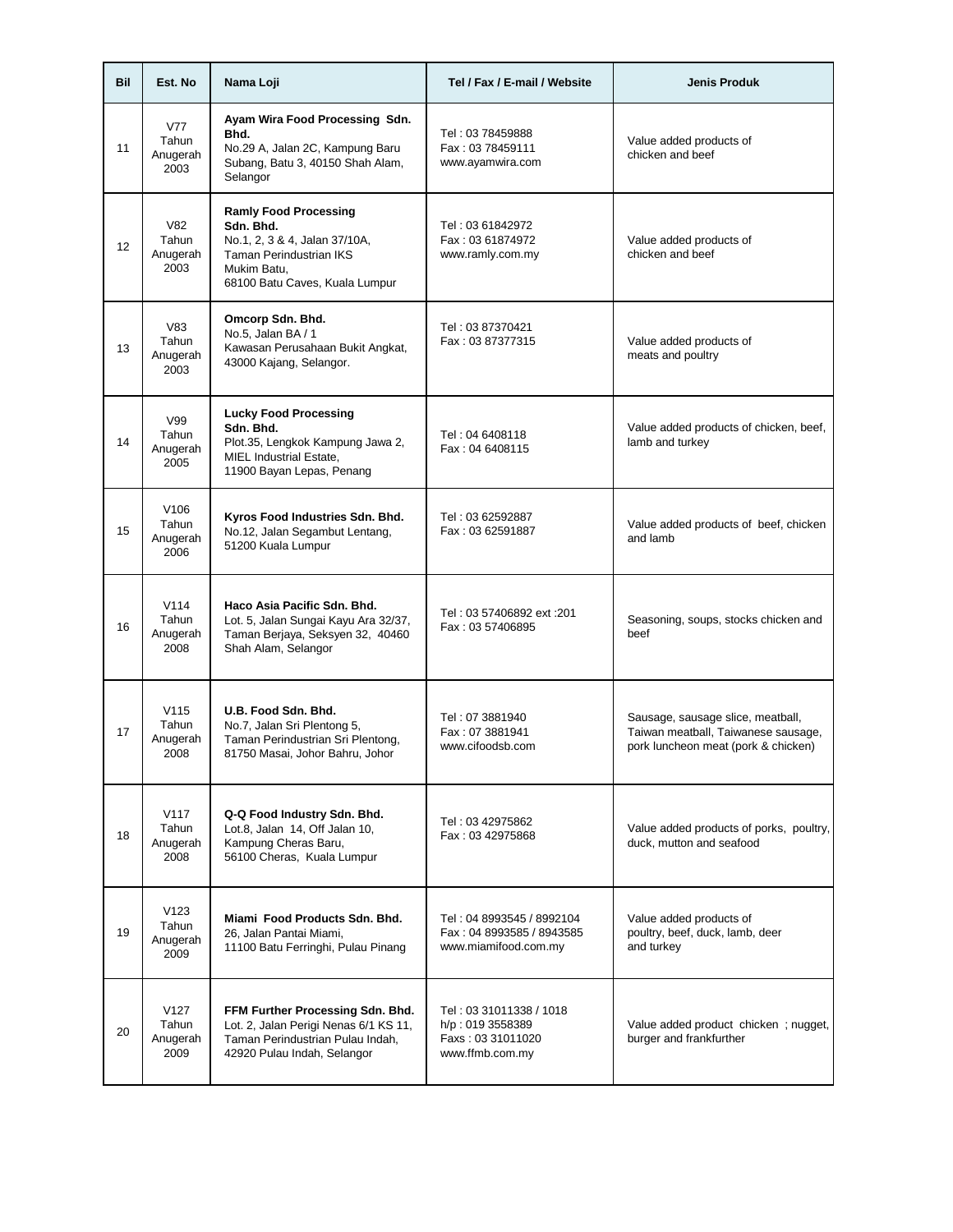| Bil | Est. No                                       | Nama Loji                                                                                                                                                     | Tel / Fax / E-mail / Website                                                        | <b>Jenis Produk</b>                                                                                             |
|-----|-----------------------------------------------|---------------------------------------------------------------------------------------------------------------------------------------------------------------|-------------------------------------------------------------------------------------|-----------------------------------------------------------------------------------------------------------------|
| 11  | V77<br>Tahun<br>Anugerah<br>2003              | Ayam Wira Food Processing Sdn.<br>Bhd.<br>No.29 A, Jalan 2C, Kampung Baru<br>Subang, Batu 3, 40150 Shah Alam,<br>Selangor                                     | Tel: 03 78459888<br>Fax: 03 78459111<br>www.ayamwira.com                            | Value added products of<br>chicken and beef                                                                     |
| 12  | V82<br>Tahun<br>Anugerah<br>2003              | <b>Ramly Food Processing</b><br>Sdn. Bhd.<br>No.1, 2, 3 & 4, Jalan 37/10A,<br><b>Taman Perindustrian IKS</b><br>Mukim Batu,<br>68100 Batu Caves, Kuala Lumpur | Tel: 03 61842972<br>Fax: 03 61874972<br>www.ramly.com.my                            | Value added products of<br>chicken and beef                                                                     |
| 13  | V83<br>Tahun<br>Anugerah<br>2003              | Omcorp Sdn. Bhd.<br>No.5, Jalan BA / 1<br>Kawasan Perusahaan Bukit Angkat,<br>43000 Kajang, Selangor.                                                         | Tel: 03 87370421<br>Fax: 03 87377315                                                | Value added products of<br>meats and poultry                                                                    |
| 14  | V99<br>Tahun<br>Anugerah<br>2005              | <b>Lucky Food Processing</b><br>Sdn. Bhd.<br>Plot.35, Lengkok Kampung Jawa 2,<br>MIEL Industrial Estate,<br>11900 Bayan Lepas, Penang                         | Tel: 04 6408118<br>Fax: 04 6408115                                                  | Value added products of chicken, beef,<br>lamb and turkey                                                       |
| 15  | V <sub>106</sub><br>Tahun<br>Anugerah<br>2006 | Kyros Food Industries Sdn. Bhd.<br>No.12, Jalan Segambut Lentang,<br>51200 Kuala Lumpur                                                                       | Tel: 03 62592887<br>Fax: 03 62591887                                                | Value added products of beef, chicken<br>and lamb                                                               |
| 16  | V114<br>Tahun<br>Anugerah<br>2008             | Haco Asia Pacific Sdn. Bhd.<br>Lot. 5, Jalan Sungai Kayu Ara 32/37,<br>Taman Berjaya, Seksyen 32, 40460<br>Shah Alam, Selangor                                | Tel: 03 57406892 ext: 201<br>Fax: 03 57406895                                       | Seasoning, soups, stocks chicken and<br>beef                                                                    |
| 17  | V115<br>Tahun<br>Anugerah<br>2008             | U.B. Food Sdn. Bhd.<br>No.7, Jalan Sri Plentong 5,<br>Taman Perindustrian Sri Plentong,<br>81750 Masai, Johor Bahru, Johor                                    | Tel: 07 3881940<br>Fax: 07 3881941<br>www.cifoodsb.com                              | Sausage, sausage slice, meatball,<br>Taiwan meatball, Taiwanese sausage,<br>pork luncheon meat (pork & chicken) |
| 18  | V117<br>Tahun<br>Anugerah<br>2008             | Q-Q Food Industry Sdn. Bhd.<br>Lot.8, Jalan 14, Off Jalan 10,<br>Kampung Cheras Baru,<br>56100 Cheras, Kuala Lumpur                                           | Tel: 03 42975862<br>Fax: 03 42975868                                                | Value added products of porks, poultry,<br>duck, mutton and seafood                                             |
| 19  | V123<br>Tahun<br>Anugerah<br>2009             | Miami Food Products Sdn. Bhd.<br>26, Jalan Pantai Miami,<br>11100 Batu Ferringhi, Pulau Pinang                                                                | Tel: 04 8993545 / 8992104<br>Fax: 04 8993585 / 8943585<br>www.miamifood.com.my      | Value added products of<br>poultry, beef, duck, lamb, deer<br>and turkey                                        |
| 20  | V <sub>127</sub><br>Tahun<br>Anugerah<br>2009 | FFM Further Processing Sdn. Bhd.<br>Lot. 2, Jalan Perigi Nenas 6/1 KS 11,<br>Taman Perindustrian Pulau Indah,<br>42920 Pulau Indah, Selangor                  | Tel: 03 31011338 / 1018<br>h/p: 019 3558389<br>Faxs: 03 31011020<br>www.ffmb.com.my | Value added product chicken; nugget,<br>burger and frankfurther                                                 |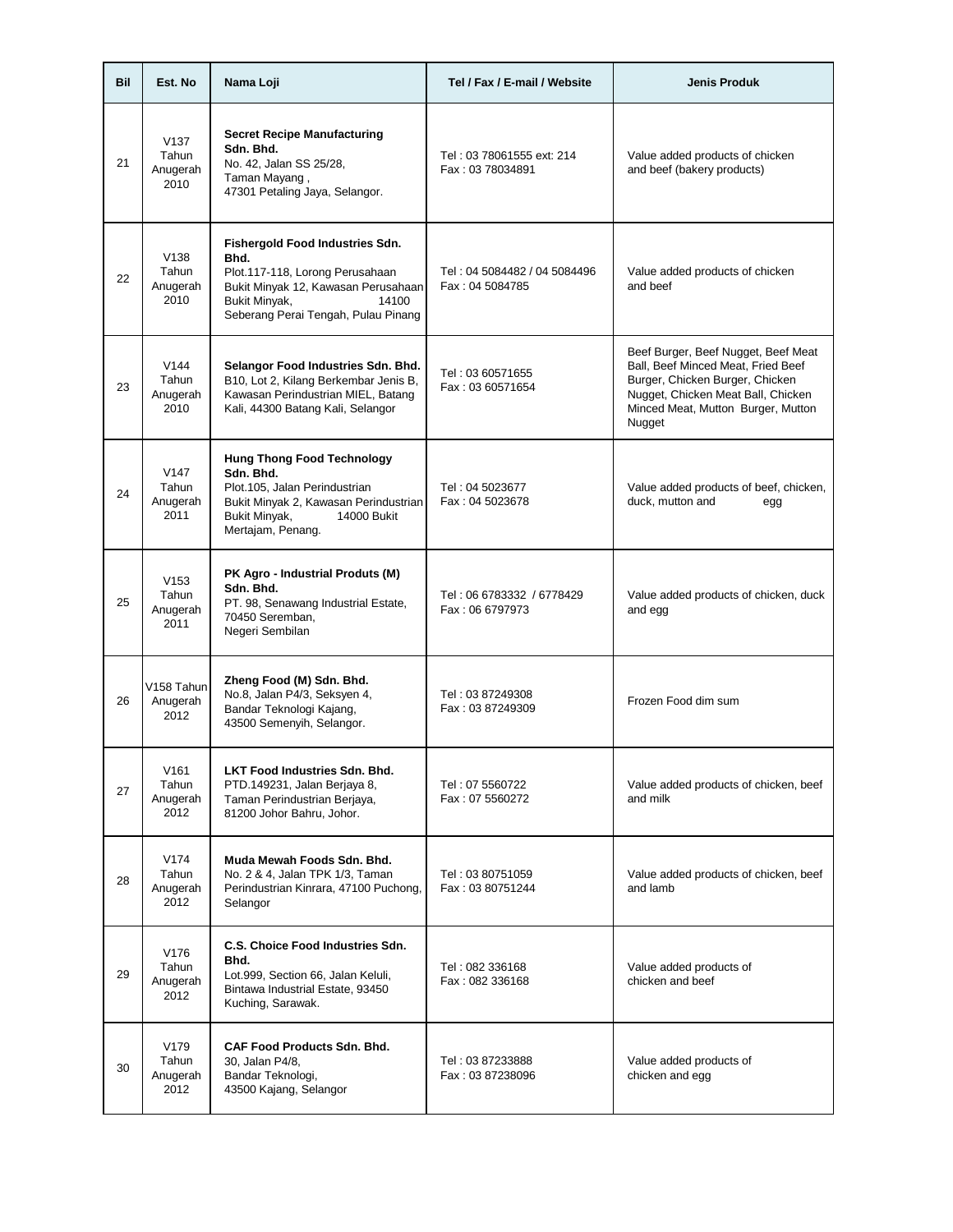| Bil | Est. No                                       | Nama Loji                                                                                                                                                                          | Tel / Fax / E-mail / Website                    | <b>Jenis Produk</b>                                                                                                                                                                                |
|-----|-----------------------------------------------|------------------------------------------------------------------------------------------------------------------------------------------------------------------------------------|-------------------------------------------------|----------------------------------------------------------------------------------------------------------------------------------------------------------------------------------------------------|
| 21  | V137<br>Tahun<br>Anugerah<br>2010             | <b>Secret Recipe Manufacturing</b><br>Sdn. Bhd.<br>No. 42, Jalan SS 25/28,<br>Taman Mayang,<br>47301 Petaling Jaya, Selangor.                                                      | Tel: 03 78061555 ext: 214<br>Fax: 03 78034891   | Value added products of chicken<br>and beef (bakery products)                                                                                                                                      |
| 22  | V138<br>Tahun<br>Anugerah<br>2010             | Fishergold Food Industries Sdn.<br>Bhd.<br>Plot.117-118, Lorong Perusahaan<br>Bukit Minyak 12, Kawasan Perusahaan<br>Bukit Minyak,<br>14100<br>Seberang Perai Tengah, Pulau Pinang | Tel: 04 5084482 / 04 5084496<br>Fax: 04 5084785 | Value added products of chicken<br>and beef                                                                                                                                                        |
| 23  | V144<br>Tahun<br>Anugerah<br>2010             | Selangor Food Industries Sdn. Bhd.<br>B10, Lot 2, Kilang Berkembar Jenis B,<br>Kawasan Perindustrian MIEL, Batang<br>Kali, 44300 Batang Kali, Selangor                             | Tel: 03 60571655<br>Fax: 03 60571654            | Beef Burger, Beef Nugget, Beef Meat<br>Ball, Beef Minced Meat, Fried Beef<br>Burger, Chicken Burger, Chicken<br>Nugget, Chicken Meat Ball, Chicken<br>Minced Meat, Mutton Burger, Mutton<br>Nugget |
| 24  | V147<br>Tahun<br>Anugerah<br>2011             | <b>Hung Thong Food Technology</b><br>Sdn. Bhd.<br>Plot.105, Jalan Perindustrian<br>Bukit Minyak 2, Kawasan Perindustrian<br>Bukit Minyak,<br>14000 Bukit<br>Mertajam, Penang.      | Tel: 04 5023677<br>Fax: 04 5023678              | Value added products of beef, chicken,<br>duck, mutton and<br>egg                                                                                                                                  |
| 25  | V153<br>Tahun<br>Anugerah<br>2011             | PK Agro - Industrial Produts (M)<br>Sdn. Bhd.<br>PT. 98, Senawang Industrial Estate,<br>70450 Seremban,<br>Negeri Sembilan                                                         | Tel: 06 6783332 / 6778429<br>Fax: 06 6797973    | Value added products of chicken, duck<br>and egg                                                                                                                                                   |
| 26  | V158 Tahun<br>Anugerah<br>2012                | Zheng Food (M) Sdn. Bhd.<br>No.8, Jalan P4/3, Seksyen 4,<br>Bandar Teknologi Kajang,<br>43500 Semenyih, Selangor.                                                                  | Tel: 03 87249308<br>Fax: 03 87249309            | Frozen Food dim sum                                                                                                                                                                                |
| 27  | V161<br>Tahun<br>Anugerah<br>2012             | <b>LKT Food Industries Sdn. Bhd.</b><br>PTD.149231, Jalan Berjaya 8,<br>Taman Perindustrian Berjaya,<br>81200 Johor Bahru, Johor.                                                  | Tel: 07 5560722<br>Fax: 07 5560272              | Value added products of chicken, beef<br>and milk                                                                                                                                                  |
| 28  | V174<br>Tahun<br>Anugerah<br>2012             | Muda Mewah Foods Sdn. Bhd.<br>No. 2 & 4, Jalan TPK 1/3, Taman<br>Perindustrian Kinrara, 47100 Puchong,<br>Selangor                                                                 | Tel: 03 80751059<br>Fax: 03 80751244            | Value added products of chicken, beef<br>and lamb                                                                                                                                                  |
| 29  | V176<br>Tahun<br>Anugerah<br>2012             | C.S. Choice Food Industries Sdn.<br>Bhd.<br>Lot.999, Section 66, Jalan Keluli,<br>Bintawa Industrial Estate, 93450<br>Kuching, Sarawak.                                            | Tel: 082 336168<br>Fax: 082 336168              | Value added products of<br>chicken and beef                                                                                                                                                        |
| 30  | V <sub>179</sub><br>Tahun<br>Anugerah<br>2012 | <b>CAF Food Products Sdn. Bhd.</b><br>30, Jalan P4/8,<br>Bandar Teknologi,<br>43500 Kajang, Selangor                                                                               | Tel: 03 87233888<br>Fax: 03 87238096            | Value added products of<br>chicken and egg                                                                                                                                                         |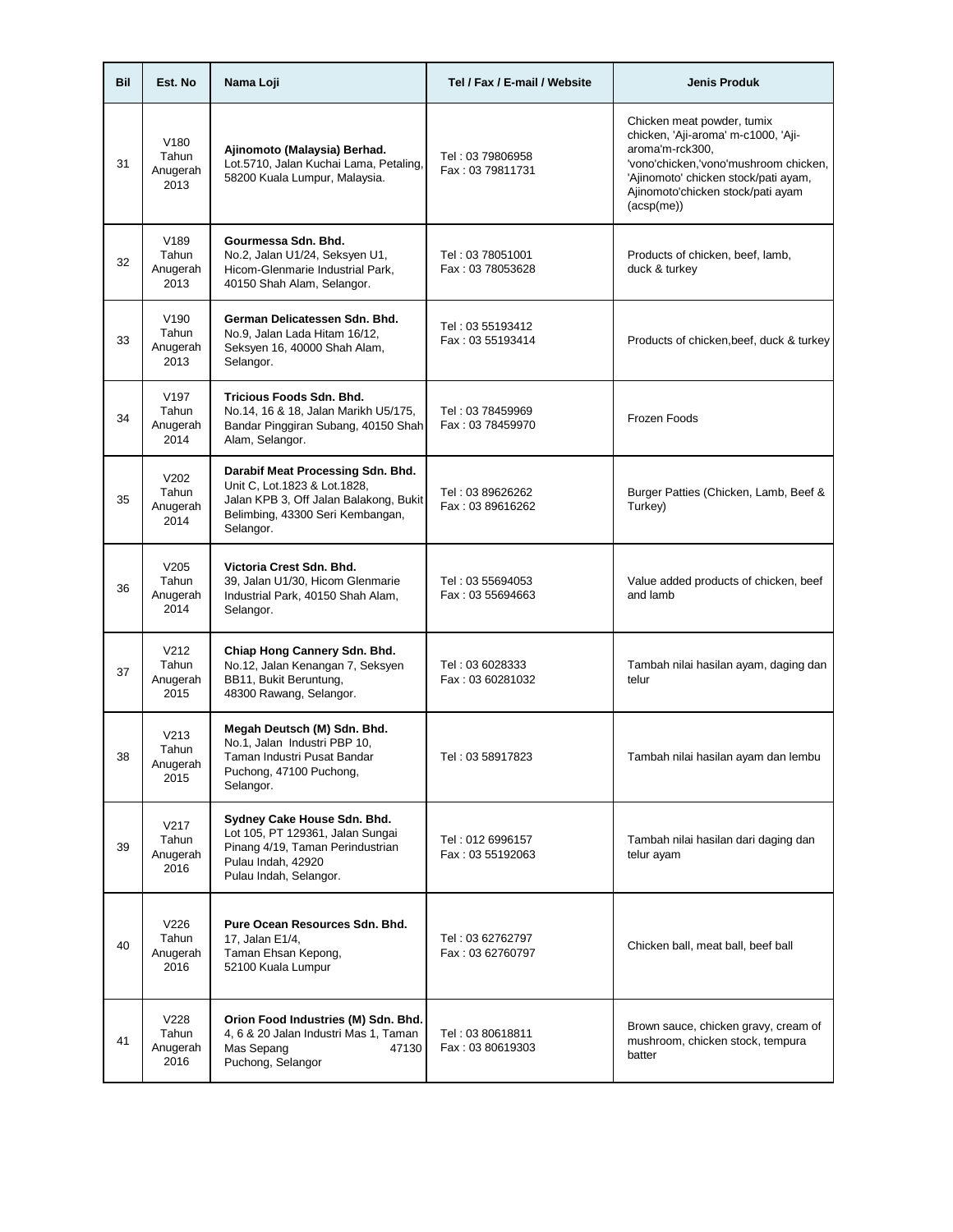| Bil | Est. No                                       | Nama Loji                                                                                                                                                    | Tel / Fax / E-mail / Website         | <b>Jenis Produk</b>                                                                                                                                                                                                      |
|-----|-----------------------------------------------|--------------------------------------------------------------------------------------------------------------------------------------------------------------|--------------------------------------|--------------------------------------------------------------------------------------------------------------------------------------------------------------------------------------------------------------------------|
| 31  | V <sub>180</sub><br>Tahun<br>Anugerah<br>2013 | Ajinomoto (Malaysia) Berhad.<br>Lot.5710, Jalan Kuchai Lama, Petaling,<br>58200 Kuala Lumpur, Malaysia.                                                      | Tel: 03 79806958<br>Fax: 03 79811731 | Chicken meat powder, tumix<br>chicken, 'Aji-aroma' m-c1000, 'Aji-<br>aroma'm-rck300,<br>'vono'chicken,'vono'mushroom chicken,<br>'Ajinomoto' chicken stock/pati ayam,<br>Ajinomoto'chicken stock/pati ayam<br>(acsp(me)) |
| 32  | V189<br>Tahun<br>Anugerah<br>2013             | Gourmessa Sdn. Bhd.<br>No.2, Jalan U1/24, Seksyen U1,<br>Hicom-Glenmarie Industrial Park,<br>40150 Shah Alam, Selangor.                                      | Tel: 03 78051001<br>Fax: 03 78053628 | Products of chicken, beef, lamb,<br>duck & turkey                                                                                                                                                                        |
| 33  | V <sub>190</sub><br>Tahun<br>Anugerah<br>2013 | German Delicatessen Sdn. Bhd.<br>No.9, Jalan Lada Hitam 16/12,<br>Seksyen 16, 40000 Shah Alam,<br>Selangor.                                                  | Tel: 03 55193412<br>Fax: 03 55193414 | Products of chicken, beef, duck & turkey                                                                                                                                                                                 |
| 34  | V <sub>197</sub><br>Tahun<br>Anugerah<br>2014 | <b>Tricious Foods Sdn. Bhd.</b><br>No.14, 16 & 18, Jalan Marikh U5/175,<br>Bandar Pinggiran Subang, 40150 Shah<br>Alam, Selangor.                            | Tel: 03 78459969<br>Fax: 03 78459970 | Frozen Foods                                                                                                                                                                                                             |
| 35  | V202<br>Tahun<br>Anugerah<br>2014             | Darabif Meat Processing Sdn. Bhd.<br>Unit C, Lot.1823 & Lot.1828,<br>Jalan KPB 3, Off Jalan Balakong, Bukit<br>Belimbing, 43300 Seri Kembangan,<br>Selangor. | Tel: 03 89626262<br>Fax: 03 89616262 | Burger Patties (Chicken, Lamb, Beef &<br>Turkey)                                                                                                                                                                         |
| 36  | V205<br>Tahun<br>Anugerah<br>2014             | Victoria Crest Sdn. Bhd.<br>39, Jalan U1/30, Hicom Glenmarie<br>Industrial Park, 40150 Shah Alam,<br>Selangor.                                               | Tel: 03 55694053<br>Fax: 03 55694663 | Value added products of chicken, beef<br>and lamb                                                                                                                                                                        |
| 37  | V <sub>212</sub><br>Tahun<br>Anugerah<br>2015 | Chiap Hong Cannery Sdn. Bhd.<br>No.12, Jalan Kenangan 7, Seksyen<br>BB11, Bukit Beruntung,<br>48300 Rawang, Selangor.                                        | Tel: 03 6028333<br>Fax: 03 60281032  | Tambah nilai hasilan ayam, daging dan<br>telur                                                                                                                                                                           |
| 38  | V213<br>Tahun<br>Anugerah<br>2015             | Megah Deutsch (M) Sdn. Bhd.<br>No.1, Jalan Industri PBP 10,<br>Taman Industri Pusat Bandar<br>Puchong, 47100 Puchong,<br>Selangor.                           | Tel: 03 58917823                     | Tambah nilai hasilan ayam dan lembu                                                                                                                                                                                      |
| 39  | V217<br>Tahun<br>Anugerah<br>2016             | Sydney Cake House Sdn. Bhd.<br>Lot 105, PT 129361, Jalan Sungai<br>Pinang 4/19, Taman Perindustrian<br>Pulau Indah, 42920<br>Pulau Indah, Selangor.          | Tel: 012 6996157<br>Fax: 03 55192063 | Tambah nilai hasilan dari daging dan<br>telur ayam                                                                                                                                                                       |
| 40  | V <sub>226</sub><br>Tahun<br>Anugerah<br>2016 | Pure Ocean Resources Sdn. Bhd.<br>17, Jalan E1/4,<br>Taman Ehsan Kepong,<br>52100 Kuala Lumpur                                                               | Tel: 03 62762797<br>Fax: 03 62760797 | Chicken ball, meat ball, beef ball                                                                                                                                                                                       |
| 41  | V228<br>Tahun<br>Anugerah<br>2016             | Orion Food Industries (M) Sdn. Bhd.<br>4, 6 & 20 Jalan Industri Mas 1, Taman<br>Mas Sepang<br>47130<br>Puchong, Selangor                                     | Tel: 03 80618811<br>Fax: 03 80619303 | Brown sauce, chicken gravy, cream of<br>mushroom, chicken stock, tempura<br>batter                                                                                                                                       |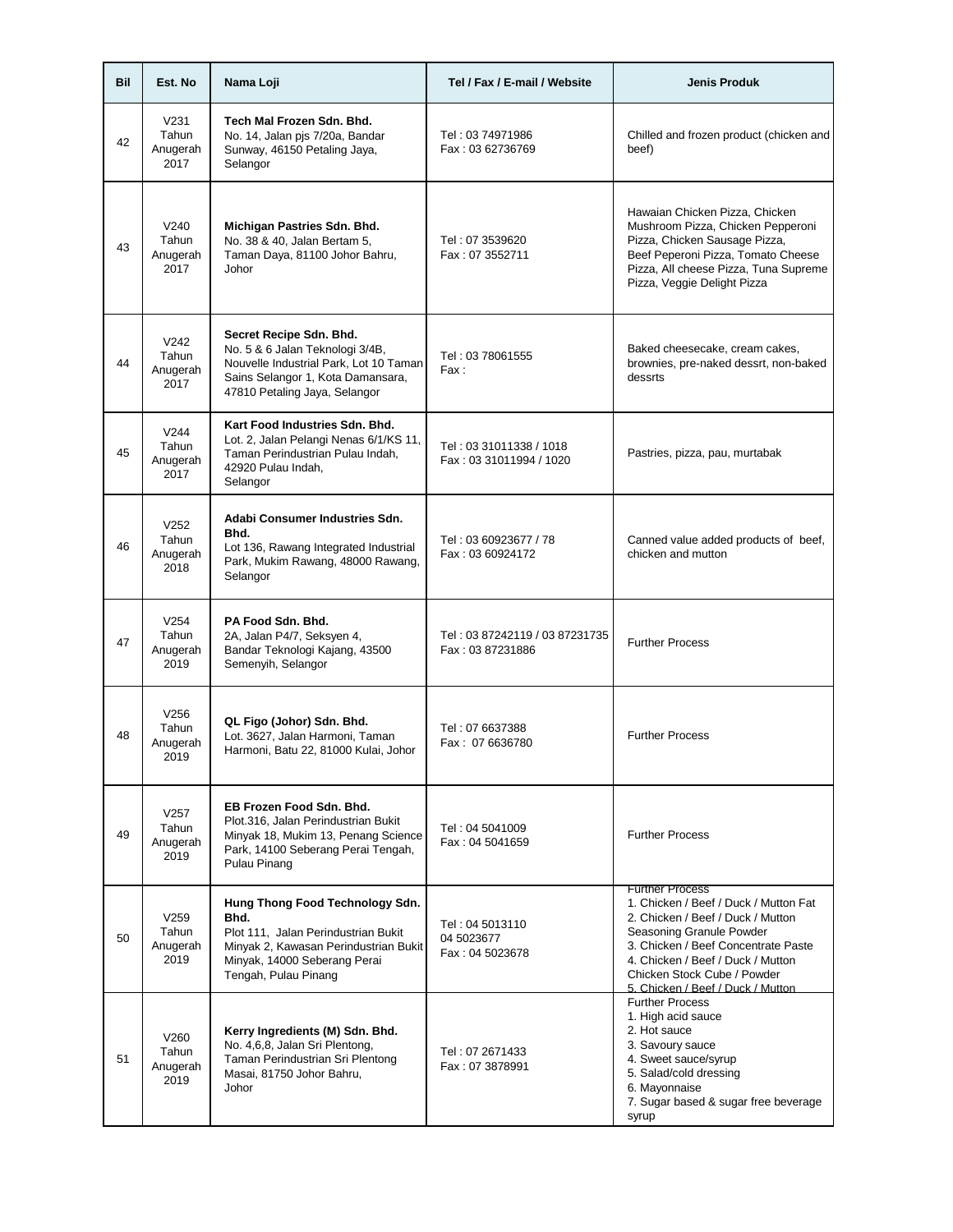| Bil | Est. No                                       | Nama Loji                                                                                                                                                                       | Tel / Fax / E-mail / Website                       | Jenis Produk                                                                                                                                                                                                                                                                     |
|-----|-----------------------------------------------|---------------------------------------------------------------------------------------------------------------------------------------------------------------------------------|----------------------------------------------------|----------------------------------------------------------------------------------------------------------------------------------------------------------------------------------------------------------------------------------------------------------------------------------|
| 42  | V <sub>231</sub><br>Tahun<br>Anugerah<br>2017 | Tech Mal Frozen Sdn. Bhd.<br>No. 14, Jalan pjs 7/20a, Bandar<br>Sunway, 46150 Petaling Jaya,<br>Selangor                                                                        | Tel: 03 74971986<br>Fax: 03 62736769               | Chilled and frozen product (chicken and<br>beef)                                                                                                                                                                                                                                 |
| 43  | V <sub>240</sub><br>Tahun<br>Anugerah<br>2017 | Michigan Pastries Sdn. Bhd.<br>No. 38 & 40, Jalan Bertam 5,<br>Taman Daya, 81100 Johor Bahru,<br>Johor                                                                          | Tel: 07 3539620<br>Fax: 07 3552711                 | Hawaian Chicken Pizza, Chicken<br>Mushroom Pizza, Chicken Pepperoni<br>Pizza, Chicken Sausage Pizza,<br>Beef Peperoni Pizza, Tomato Cheese<br>Pizza, All cheese Pizza, Tuna Supreme<br>Pizza, Veggie Delight Pizza                                                               |
| 44  | V <sub>242</sub><br>Tahun<br>Anugerah<br>2017 | Secret Recipe Sdn. Bhd.<br>No. 5 & 6 Jalan Teknologi 3/4B,<br>Nouvelle Industrial Park, Lot 10 Taman<br>Sains Selangor 1, Kota Damansara,<br>47810 Petaling Jaya, Selangor      | Tel: 03 78061555<br>Fax:                           | Baked cheesecake, cream cakes,<br>brownies, pre-naked dessrt, non-baked<br>dessrts                                                                                                                                                                                               |
| 45  | V <sub>244</sub><br>Tahun<br>Anugerah<br>2017 | Kart Food Industries Sdn. Bhd.<br>Lot. 2, Jalan Pelangi Nenas 6/1/KS 11,<br>Taman Perindustrian Pulau Indah,<br>42920 Pulau Indah,<br>Selangor                                  | Tel: 03 31011338 / 1018<br>Fax: 03 31011994 / 1020 | Pastries, pizza, pau, murtabak                                                                                                                                                                                                                                                   |
| 46  | V252<br>Tahun<br>Anugerah<br>2018             | Adabi Consumer Industries Sdn.<br>Bhd.<br>Lot 136, Rawang Integrated Industrial<br>Park, Mukim Rawang, 48000 Rawang,<br>Selangor                                                | Tel: 03 60923677 / 78<br>Fax: 03 60924172          | Canned value added products of beef,<br>chicken and mutton                                                                                                                                                                                                                       |
| 47  | V254<br>Tahun<br>Anugerah<br>2019             | PA Food Sdn. Bhd.<br>2A, Jalan P4/7, Seksyen 4,<br>Bandar Teknologi Kajang, 43500<br>Semenyih, Selangor                                                                         | Tel: 03 87242119 / 03 87231735<br>Fax: 03 87231886 | <b>Further Process</b>                                                                                                                                                                                                                                                           |
| 48  | V256<br>Tahun<br>Anugerah<br>2019             | QL Figo (Johor) Sdn. Bhd.<br>Lot. 3627, Jalan Harmoni, Taman<br>Harmoni, Batu 22, 81000 Kulai, Johor                                                                            | Tel: 07 6637388<br>Fax: 07 6636780                 | <b>Further Process</b>                                                                                                                                                                                                                                                           |
| 49  | V257<br>Tahun<br>Anugerah<br>2019             | EB Frozen Food Sdn. Bhd.<br>Plot.316. Jalan Perindustrian Bukit<br>Minyak 18, Mukim 13, Penang Science<br>Park, 14100 Seberang Perai Tengah,<br>Pulau Pinang                    | Tel: 04 5041009<br>Fax: 04 5041659                 | <b>Further Process</b>                                                                                                                                                                                                                                                           |
| 50  | V259<br>Tahun<br>Anugerah<br>2019             | Hung Thong Food Technology Sdn.<br>Bhd.<br>Plot 111, Jalan Perindustrian Bukit<br>Minyak 2, Kawasan Perindustrian Bukit<br>Minyak, 14000 Seberang Perai<br>Tengah, Pulau Pinang | Tel: 04 5013110<br>04 5023677<br>Fax: 04 5023678   | <b>Further Process</b><br>1. Chicken / Beef / Duck / Mutton Fat<br>2. Chicken / Beef / Duck / Mutton<br>Seasoning Granule Powder<br>3. Chicken / Beef Concentrate Paste<br>4. Chicken / Beef / Duck / Mutton<br>Chicken Stock Cube / Powder<br>5. Chicken / Beef / Duck / Mutton |
| 51  | V260<br>Tahun<br>Anugerah<br>2019             | Kerry Ingredients (M) Sdn. Bhd.<br>No. 4,6,8, Jalan Sri Plentong,<br>Taman Perindustrian Sri Plentong<br>Masai, 81750 Johor Bahru,<br>Johor                                     | Tel: 07 2671433<br>Fax: 07 3878991                 | <b>Further Process</b><br>1. High acid sauce<br>2. Hot sauce<br>3. Savoury sauce<br>4. Sweet sauce/syrup<br>5. Salad/cold dressing<br>6. Mayonnaise<br>7. Sugar based & sugar free beverage<br>syrup                                                                             |